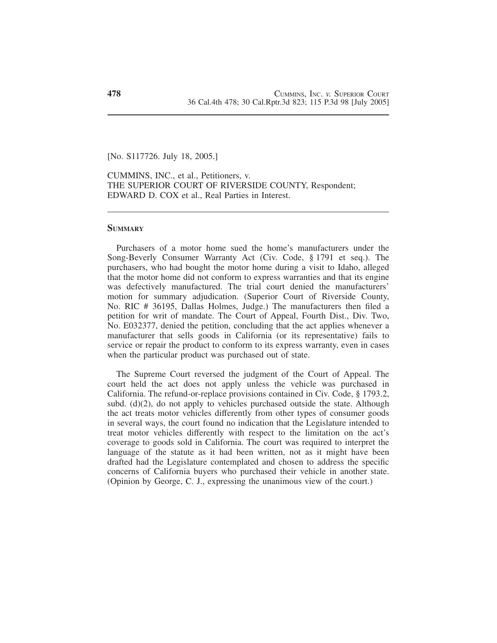[No. S117726. July 18, 2005.]

CUMMINS, INC., et al., Petitioners, v. THE SUPERIOR COURT OF RIVERSIDE COUNTY, Respondent; EDWARD D. COX et al., Real Parties in Interest.

## **SUMMARY**

Purchasers of a motor home sued the home's manufacturers under the Song-Beverly Consumer Warranty Act (Civ. Code, § 1791 et seq.). The purchasers, who had bought the motor home during a visit to Idaho, alleged that the motor home did not conform to express warranties and that its engine was defectively manufactured. The trial court denied the manufacturers' motion for summary adjudication. (Superior Court of Riverside County, No. RIC # 36195, Dallas Holmes, Judge.) The manufacturers then filed a petition for writ of mandate. The Court of Appeal, Fourth Dist., Div. Two, No. E032377, denied the petition, concluding that the act applies whenever a manufacturer that sells goods in California (or its representative) fails to service or repair the product to conform to its express warranty, even in cases when the particular product was purchased out of state.

The Supreme Court reversed the judgment of the Court of Appeal. The court held the act does not apply unless the vehicle was purchased in California. The refund-or-replace provisions contained in Civ. Code, § 1793.2, subd. (d)(2), do not apply to vehicles purchased outside the state. Although the act treats motor vehicles differently from other types of consumer goods in several ways, the court found no indication that the Legislature intended to treat motor vehicles differently with respect to the limitation on the act's coverage to goods sold in California. The court was required to interpret the language of the statute as it had been written, not as it might have been drafted had the Legislature contemplated and chosen to address the specific concerns of California buyers who purchased their vehicle in another state. (Opinion by George, C. J., expressing the unanimous view of the court.)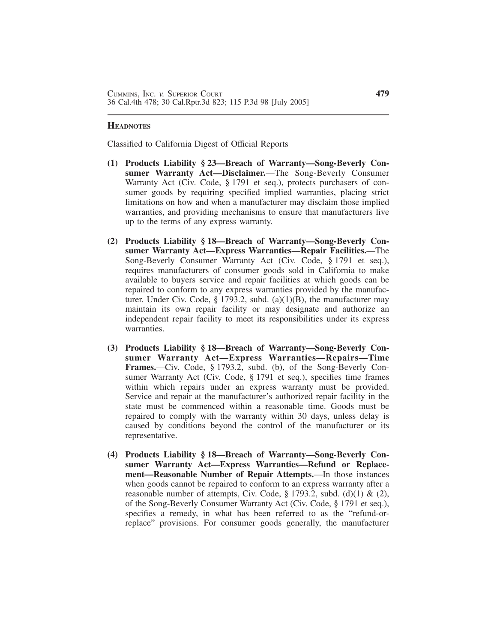## **HEADNOTES**

Classified to California Digest of Official Reports

- **(1) Products Liability § 23—Breach of Warranty—Song-Beverly Consumer Warranty Act—Disclaimer.**—The Song-Beverly Consumer Warranty Act (Civ. Code, § 1791 et seq.), protects purchasers of consumer goods by requiring specified implied warranties, placing strict limitations on how and when a manufacturer may disclaim those implied warranties, and providing mechanisms to ensure that manufacturers live up to the terms of any express warranty.
- **(2) Products Liability § 18—Breach of Warranty—Song-Beverly Consumer Warranty Act—Express Warranties—Repair Facilities.**—The Song-Beverly Consumer Warranty Act (Civ. Code, § 1791 et seq.), requires manufacturers of consumer goods sold in California to make available to buyers service and repair facilities at which goods can be repaired to conform to any express warranties provided by the manufacturer. Under Civ. Code, § 1793.2, subd. (a)(1)(B), the manufacturer may maintain its own repair facility or may designate and authorize an independent repair facility to meet its responsibilities under its express warranties.
- **(3) Products Liability § 18—Breach of Warranty—Song-Beverly Consumer Warranty Act—Express Warranties—Repairs—Time Frames.**—Civ. Code, § 1793.2, subd. (b), of the Song-Beverly Consumer Warranty Act (Civ. Code, § 1791 et seq.), specifies time frames within which repairs under an express warranty must be provided. Service and repair at the manufacturer's authorized repair facility in the state must be commenced within a reasonable time. Goods must be repaired to comply with the warranty within 30 days, unless delay is caused by conditions beyond the control of the manufacturer or its representative.
- **(4) Products Liability § 18—Breach of Warranty—Song-Beverly Consumer Warranty Act—Express Warranties—Refund or Replacement—Reasonable Number of Repair Attempts.**—In those instances when goods cannot be repaired to conform to an express warranty after a reasonable number of attempts, Civ. Code,  $\S 1793.2$ , subd. (d)(1) & (2), of the Song-Beverly Consumer Warranty Act (Civ. Code, § 1791 et seq.), specifies a remedy, in what has been referred to as the "refund-orreplace" provisions. For consumer goods generally, the manufacturer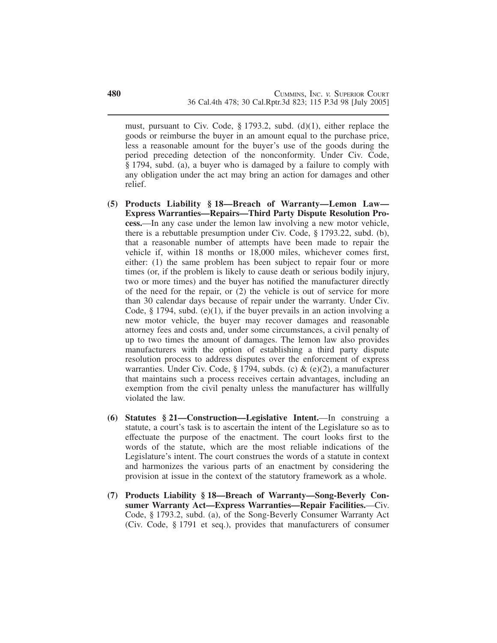must, pursuant to Civ. Code, § 1793.2, subd. (d)(1), either replace the goods or reimburse the buyer in an amount equal to the purchase price, less a reasonable amount for the buyer's use of the goods during the period preceding detection of the nonconformity. Under Civ. Code, § 1794, subd. (a), a buyer who is damaged by a failure to comply with any obligation under the act may bring an action for damages and other relief.

- **(5) Products Liability § 18—Breach of Warranty—Lemon Law— Express Warranties—Repairs—Third Party Dispute Resolution Process.**—In any case under the lemon law involving a new motor vehicle, there is a rebuttable presumption under Civ. Code, § 1793.22, subd. (b), that a reasonable number of attempts have been made to repair the vehicle if, within 18 months or 18,000 miles, whichever comes first, either: (1) the same problem has been subject to repair four or more times (or, if the problem is likely to cause death or serious bodily injury, two or more times) and the buyer has notified the manufacturer directly of the need for the repair, or (2) the vehicle is out of service for more than 30 calendar days because of repair under the warranty. Under Civ. Code,  $\S$  1794, subd. (e)(1), if the buyer prevails in an action involving a new motor vehicle, the buyer may recover damages and reasonable attorney fees and costs and, under some circumstances, a civil penalty of up to two times the amount of damages. The lemon law also provides manufacturers with the option of establishing a third party dispute resolution process to address disputes over the enforcement of express warranties. Under Civ. Code, § 1794, subds. (c) & (e)(2), a manufacturer that maintains such a process receives certain advantages, including an exemption from the civil penalty unless the manufacturer has willfully violated the law.
- **(6) Statutes § 21—Construction—Legislative Intent.**—In construing a statute, a court's task is to ascertain the intent of the Legislature so as to effectuate the purpose of the enactment. The court looks first to the words of the statute, which are the most reliable indications of the Legislature's intent. The court construes the words of a statute in context and harmonizes the various parts of an enactment by considering the provision at issue in the context of the statutory framework as a whole.
- **(7) Products Liability § 18—Breach of Warranty—Song-Beverly Consumer Warranty Act—Express Warranties—Repair Facilities.**—Civ. Code, § 1793.2, subd. (a), of the Song-Beverly Consumer Warranty Act (Civ. Code, § 1791 et seq.), provides that manufacturers of consumer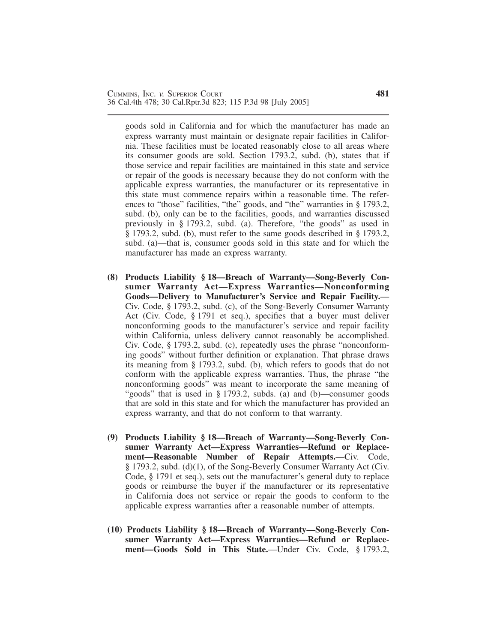goods sold in California and for which the manufacturer has made an express warranty must maintain or designate repair facilities in California. These facilities must be located reasonably close to all areas where its consumer goods are sold. Section 1793.2, subd. (b), states that if those service and repair facilities are maintained in this state and service or repair of the goods is necessary because they do not conform with the applicable express warranties, the manufacturer or its representative in this state must commence repairs within a reasonable time. The references to "those" facilities, "the" goods, and "the" warranties in § 1793.2, subd. (b), only can be to the facilities, goods, and warranties discussed previously in § 1793.2, subd. (a). Therefore, "the goods" as used in § 1793.2, subd. (b), must refer to the same goods described in § 1793.2, subd. (a)—that is, consumer goods sold in this state and for which the manufacturer has made an express warranty.

- **(8) Products Liability § 18—Breach of Warranty—Song-Beverly Consumer Warranty Act—Express Warranties—Nonconforming Goods—Delivery to Manufacturer's Service and Repair Facility.**— Civ. Code, § 1793.2, subd. (c), of the Song-Beverly Consumer Warranty Act (Civ. Code, § 1791 et seq.), specifies that a buyer must deliver nonconforming goods to the manufacturer's service and repair facility within California, unless delivery cannot reasonably be accomplished. Civ. Code, § 1793.2, subd. (c), repeatedly uses the phrase "nonconforming goods" without further definition or explanation. That phrase draws its meaning from § 1793.2, subd. (b), which refers to goods that do not conform with the applicable express warranties. Thus, the phrase "the nonconforming goods" was meant to incorporate the same meaning of "goods" that is used in § 1793.2, subds. (a) and (b)—consumer goods that are sold in this state and for which the manufacturer has provided an express warranty, and that do not conform to that warranty.
- **(9) Products Liability § 18—Breach of Warranty—Song-Beverly Consumer Warranty Act—Express Warranties—Refund or Replacement—Reasonable Number of Repair Attempts.**—Civ. Code, § 1793.2, subd. (d)(1), of the Song-Beverly Consumer Warranty Act (Civ. Code, § 1791 et seq.), sets out the manufacturer's general duty to replace goods or reimburse the buyer if the manufacturer or its representative in California does not service or repair the goods to conform to the applicable express warranties after a reasonable number of attempts.
- **(10) Products Liability § 18—Breach of Warranty—Song-Beverly Consumer Warranty Act—Express Warranties—Refund or Replacement—Goods Sold in This State.**—Under Civ. Code, § 1793.2,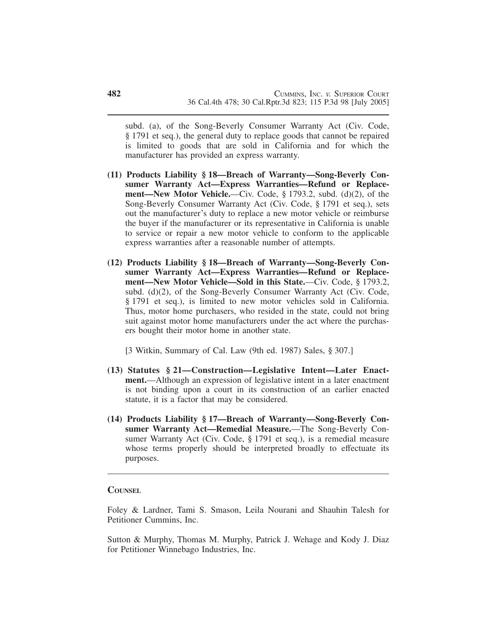subd. (a), of the Song-Beverly Consumer Warranty Act (Civ. Code, § 1791 et seq.), the general duty to replace goods that cannot be repaired is limited to goods that are sold in California and for which the manufacturer has provided an express warranty.

- **(11) Products Liability § 18—Breach of Warranty—Song-Beverly Consumer Warranty Act—Express Warranties—Refund or Replacement—New Motor Vehicle.**—Civ. Code, § 1793.2, subd. (d)(2), of the Song-Beverly Consumer Warranty Act (Civ. Code, § 1791 et seq.), sets out the manufacturer's duty to replace a new motor vehicle or reimburse the buyer if the manufacturer or its representative in California is unable to service or repair a new motor vehicle to conform to the applicable express warranties after a reasonable number of attempts.
- **(12) Products Liability § 18—Breach of Warranty—Song-Beverly Consumer Warranty Act—Express Warranties—Refund or Replacement—New Motor Vehicle—Sold in this State.**—Civ. Code, § 1793.2, subd. (d)(2), of the Song-Beverly Consumer Warranty Act (Civ. Code, § 1791 et seq.), is limited to new motor vehicles sold in California. Thus, motor home purchasers, who resided in the state, could not bring suit against motor home manufacturers under the act where the purchasers bought their motor home in another state.

[3 Witkin, Summary of Cal. Law (9th ed. 1987) Sales, § 307.]

- **(13) Statutes § 21—Construction—Legislative Intent—Later Enactment.**—Although an expression of legislative intent in a later enactment is not binding upon a court in its construction of an earlier enacted statute, it is a factor that may be considered.
- **(14) Products Liability § 17—Breach of Warranty—Song-Beverly Consumer Warranty Act—Remedial Measure.**—The Song-Beverly Consumer Warranty Act (Civ. Code, § 1791 et seq.), is a remedial measure whose terms properly should be interpreted broadly to effectuate its purposes.

#### **COUNSEL**

Foley & Lardner, Tami S. Smason, Leila Nourani and Shauhin Talesh for Petitioner Cummins, Inc.

Sutton & Murphy, Thomas M. Murphy, Patrick J. Wehage and Kody J. Diaz for Petitioner Winnebago Industries, Inc.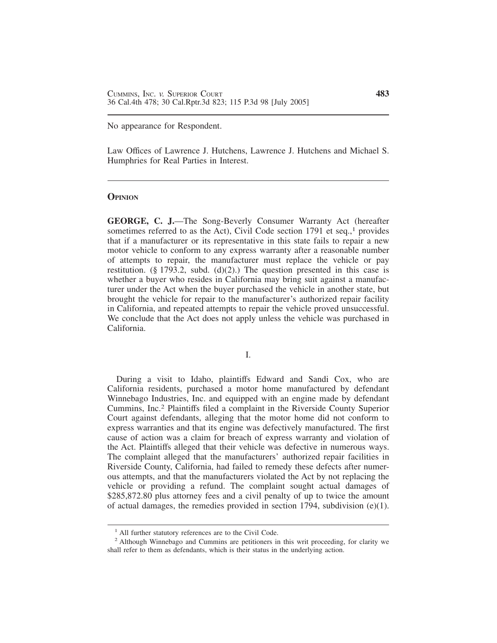No appearance for Respondent.

Law Offices of Lawrence J. Hutchens, Lawrence J. Hutchens and Michael S. Humphries for Real Parties in Interest.

### **OPINION**

**GEORGE, C. J.**—The Song-Beverly Consumer Warranty Act (hereafter sometimes referred to as the Act), Civil Code section 1791 et seq., $<sup>1</sup>$  provides</sup> that if a manufacturer or its representative in this state fails to repair a new motor vehicle to conform to any express warranty after a reasonable number of attempts to repair, the manufacturer must replace the vehicle or pay restitution. (§ 1793.2, subd. (d)(2).) The question presented in this case is whether a buyer who resides in California may bring suit against a manufacturer under the Act when the buyer purchased the vehicle in another state, but brought the vehicle for repair to the manufacturer's authorized repair facility in California, and repeated attempts to repair the vehicle proved unsuccessful. We conclude that the Act does not apply unless the vehicle was purchased in California.

I.

During a visit to Idaho, plaintiffs Edward and Sandi Cox, who are California residents, purchased a motor home manufactured by defendant Winnebago Industries, Inc. and equipped with an engine made by defendant Cummins, Inc.2 Plaintiffs filed a complaint in the Riverside County Superior Court against defendants, alleging that the motor home did not conform to express warranties and that its engine was defectively manufactured. The first cause of action was a claim for breach of express warranty and violation of the Act. Plaintiffs alleged that their vehicle was defective in numerous ways. The complaint alleged that the manufacturers' authorized repair facilities in Riverside County, California, had failed to remedy these defects after numerous attempts, and that the manufacturers violated the Act by not replacing the vehicle or providing a refund. The complaint sought actual damages of \$285,872.80 plus attorney fees and a civil penalty of up to twice the amount of actual damages, the remedies provided in section 1794, subdivision (e)(1).

<sup>&</sup>lt;sup>1</sup> All further statutory references are to the Civil Code.

<sup>&</sup>lt;sup>2</sup> Although Winnebago and Cummins are petitioners in this writ proceeding, for clarity we shall refer to them as defendants, which is their status in the underlying action.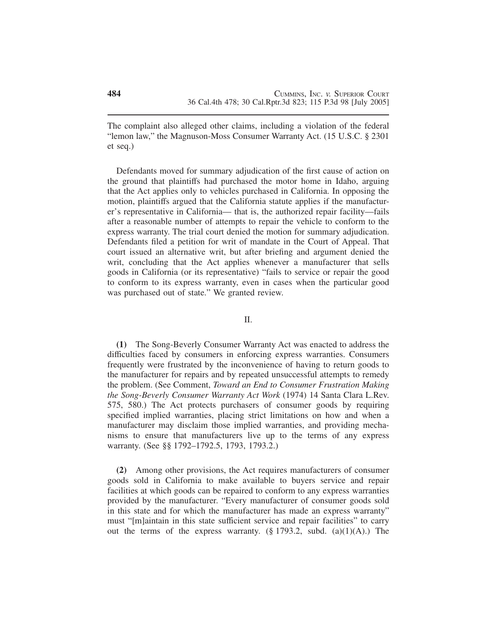The complaint also alleged other claims, including a violation of the federal "lemon law," the Magnuson-Moss Consumer Warranty Act. (15 U.S.C. § 2301 et seq.)

Defendants moved for summary adjudication of the first cause of action on the ground that plaintiffs had purchased the motor home in Idaho, arguing that the Act applies only to vehicles purchased in California. In opposing the motion, plaintiffs argued that the California statute applies if the manufacturer's representative in California— that is, the authorized repair facility—fails after a reasonable number of attempts to repair the vehicle to conform to the express warranty. The trial court denied the motion for summary adjudication. Defendants filed a petition for writ of mandate in the Court of Appeal. That court issued an alternative writ, but after briefing and argument denied the writ, concluding that the Act applies whenever a manufacturer that sells goods in California (or its representative) "fails to service or repair the good to conform to its express warranty, even in cases when the particular good was purchased out of state." We granted review.

II.

**(1)** The Song-Beverly Consumer Warranty Act was enacted to address the difficulties faced by consumers in enforcing express warranties. Consumers frequently were frustrated by the inconvenience of having to return goods to the manufacturer for repairs and by repeated unsuccessful attempts to remedy the problem. (See Comment, *Toward an End to Consumer Frustration Making the Song-Beverly Consumer Warranty Act Work* (1974) 14 Santa Clara L.Rev. 575, 580.) The Act protects purchasers of consumer goods by requiring specified implied warranties, placing strict limitations on how and when a manufacturer may disclaim those implied warranties, and providing mechanisms to ensure that manufacturers live up to the terms of any express warranty. (See §§ 1792–1792.5, 1793, 1793.2.)

**(2)** Among other provisions, the Act requires manufacturers of consumer goods sold in California to make available to buyers service and repair facilities at which goods can be repaired to conform to any express warranties provided by the manufacturer. "Every manufacturer of consumer goods sold in this state and for which the manufacturer has made an express warranty" must "[m]aintain in this state sufficient service and repair facilities" to carry out the terms of the express warranty.  $(\S 1793.2, \text{ subd. } (a)(1)(A))$ . The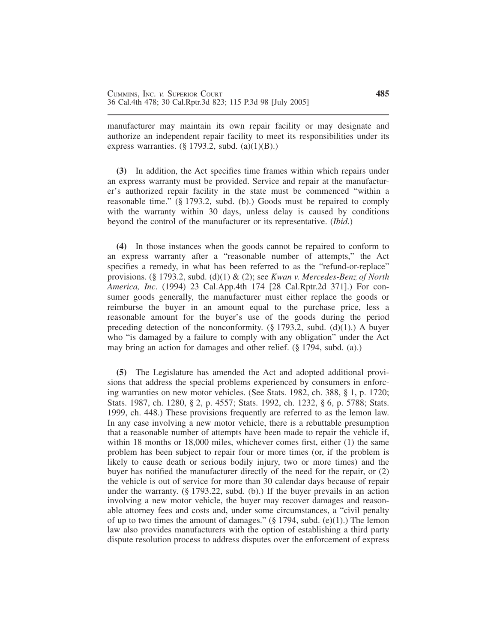manufacturer may maintain its own repair facility or may designate and authorize an independent repair facility to meet its responsibilities under its express warranties.  $(\S$  1793.2, subd.  $(a)(1)(B)$ .

**(3)** In addition, the Act specifies time frames within which repairs under an express warranty must be provided. Service and repair at the manufacturer's authorized repair facility in the state must be commenced "within a reasonable time." (§ 1793.2, subd. (b).) Goods must be repaired to comply with the warranty within 30 days, unless delay is caused by conditions beyond the control of the manufacturer or its representative. (*Ibid*.)

**(4)** In those instances when the goods cannot be repaired to conform to an express warranty after a "reasonable number of attempts," the Act specifies a remedy, in what has been referred to as the "refund-or-replace" provisions. (§ 1793.2, subd. (d)(1) & (2); see *Kwan v. Mercedes-Benz of North America, Inc*. (1994) 23 Cal.App.4th 174 [28 Cal.Rptr.2d 371].) For consumer goods generally, the manufacturer must either replace the goods or reimburse the buyer in an amount equal to the purchase price, less a reasonable amount for the buyer's use of the goods during the period preceding detection of the nonconformity.  $(\S 1793.2, \text{subd.} (d)(1))$ . A buyer who "is damaged by a failure to comply with any obligation" under the Act may bring an action for damages and other relief. (§ 1794, subd. (a).)

**(5)** The Legislature has amended the Act and adopted additional provisions that address the special problems experienced by consumers in enforcing warranties on new motor vehicles. (See Stats. 1982, ch. 388, § 1, p. 1720; Stats. 1987, ch. 1280, § 2, p. 4557; Stats. 1992, ch. 1232, § 6, p. 5788; Stats. 1999, ch. 448.) These provisions frequently are referred to as the lemon law. In any case involving a new motor vehicle, there is a rebuttable presumption that a reasonable number of attempts have been made to repair the vehicle if, within 18 months or 18,000 miles, whichever comes first, either (1) the same problem has been subject to repair four or more times (or, if the problem is likely to cause death or serious bodily injury, two or more times) and the buyer has notified the manufacturer directly of the need for the repair, or (2) the vehicle is out of service for more than 30 calendar days because of repair under the warranty. (§ 1793.22, subd. (b).) If the buyer prevails in an action involving a new motor vehicle, the buyer may recover damages and reasonable attorney fees and costs and, under some circumstances, a "civil penalty of up to two times the amount of damages."  $(\S 1794, \text{subd. (e)}(1))$ . The lemon law also provides manufacturers with the option of establishing a third party dispute resolution process to address disputes over the enforcement of express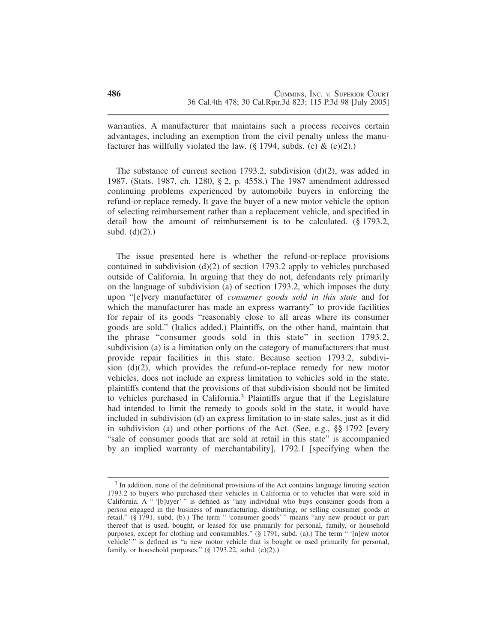warranties. A manufacturer that maintains such a process receives certain advantages, including an exemption from the civil penalty unless the manufacturer has willfully violated the law.  $(\S 1794, \text{ subds. (c) \& } (\ee)(2)$ .

The substance of current section 1793.2, subdivision (d)(2), was added in 1987. (Stats. 1987, ch. 1280, § 2, p. 4558.) The 1987 amendment addressed continuing problems experienced by automobile buyers in enforcing the refund-or-replace remedy. It gave the buyer of a new motor vehicle the option of selecting reimbursement rather than a replacement vehicle, and specified in detail how the amount of reimbursement is to be calculated. (§ 1793.2, subd.  $(d)(2)$ .)

The issue presented here is whether the refund-or-replace provisions contained in subdivision (d)(2) of section 1793.2 apply to vehicles purchased outside of California. In arguing that they do not, defendants rely primarily on the language of subdivision (a) of section 1793.2, which imposes the duty upon "[e]very manufacturer of *consumer goods sold in this state* and for which the manufacturer has made an express warranty" to provide facilities for repair of its goods "reasonably close to all areas where its consumer goods are sold." (Italics added.) Plaintiffs, on the other hand, maintain that the phrase "consumer goods sold in this state" in section 1793.2, subdivision (a) is a limitation only on the category of manufacturers that must provide repair facilities in this state. Because section 1793.2, subdivision (d)(2), which provides the refund-or-replace remedy for new motor vehicles, does not include an express limitation to vehicles sold in the state, plaintiffs contend that the provisions of that subdivision should not be limited to vehicles purchased in California.<sup>3</sup> Plaintiffs argue that if the Legislature had intended to limit the remedy to goods sold in the state, it would have included in subdivision (d) an express limitation to in-state sales, just as it did in subdivision (a) and other portions of the Act. (See, e.g., §§ 1792 [every "sale of consumer goods that are sold at retail in this state" is accompanied by an implied warranty of merchantability], 1792.1 [specifying when the

<sup>&</sup>lt;sup>3</sup> In addition, none of the definitional provisions of the Act contains language limiting section 1793.2 to buyers who purchased their vehicles in California or to vehicles that were sold in California. A " '[b]uyer' " is defined as "any individual who buys consumer goods from a person engaged in the business of manufacturing, distributing, or selling consumer goods at retail." (§ 1791, subd. (b).) The term " 'consumer goods' " means "any new product or part thereof that is used, bought, or leased for use primarily for personal, family, or household purposes, except for clothing and consumables." (§ 1791, subd. (a).) The term " '[n]ew motor vehicle' " is defined as "a new motor vehicle that is bought or used primarily for personal, family, or household purposes."  $(\S 1793.22, \text{subd. } (e)(2))$ .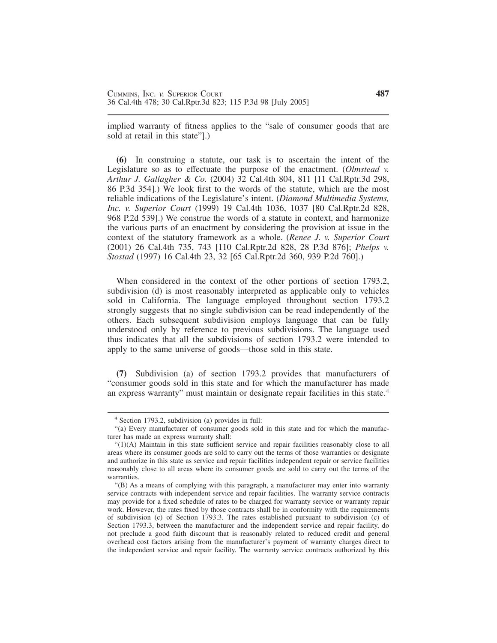implied warranty of fitness applies to the "sale of consumer goods that are sold at retail in this state"].)

**(6)** In construing a statute, our task is to ascertain the intent of the Legislature so as to effectuate the purpose of the enactment. (*Olmstead v. Arthur J. Gallagher & Co.* (2004) 32 Cal.4th 804, 811 [11 Cal.Rptr.3d 298, 86 P.3d 354]*.*) We look first to the words of the statute, which are the most reliable indications of the Legislature's intent. (*Diamond Multimedia Systems, Inc. v. Superior Court* (1999) 19 Cal.4th 1036, 1037 [80 Cal.Rptr.2d 828, 968 P.2d 539].) We construe the words of a statute in context, and harmonize the various parts of an enactment by considering the provision at issue in the context of the statutory framework as a whole. (*Renee J. v. Superior Court* (2001) 26 Cal.4th 735, 743 [110 Cal.Rptr.2d 828, 28 P.3d 876]; *Phelps v. Stostad* (1997) 16 Cal.4th 23, 32 [65 Cal.Rptr.2d 360, 939 P.2d 760].)

When considered in the context of the other portions of section 1793.2, subdivision (d) is most reasonably interpreted as applicable only to vehicles sold in California. The language employed throughout section 1793.2 strongly suggests that no single subdivision can be read independently of the others. Each subsequent subdivision employs language that can be fully understood only by reference to previous subdivisions. The language used thus indicates that all the subdivisions of section 1793.2 were intended to apply to the same universe of goods—those sold in this state.

**(7)** Subdivision (a) of section 1793.2 provides that manufacturers of "consumer goods sold in this state and for which the manufacturer has made an express warranty" must maintain or designate repair facilities in this state.<sup>4</sup>

<sup>4</sup> Section 1793.2, subdivision (a) provides in full:

<sup>&</sup>quot;(a) Every manufacturer of consumer goods sold in this state and for which the manufacturer has made an express warranty shall:

<sup>&</sup>quot;(1)(A) Maintain in this state sufficient service and repair facilities reasonably close to all areas where its consumer goods are sold to carry out the terms of those warranties or designate and authorize in this state as service and repair facilities independent repair or service facilities reasonably close to all areas where its consumer goods are sold to carry out the terms of the warranties.

<sup>&</sup>quot;(B) As a means of complying with this paragraph, a manufacturer may enter into warranty service contracts with independent service and repair facilities. The warranty service contracts may provide for a fixed schedule of rates to be charged for warranty service or warranty repair work. However, the rates fixed by those contracts shall be in conformity with the requirements of subdivision (c) of Section 1793.3. The rates established pursuant to subdivision (c) of Section 1793.3, between the manufacturer and the independent service and repair facility, do not preclude a good faith discount that is reasonably related to reduced credit and general overhead cost factors arising from the manufacturer's payment of warranty charges direct to the independent service and repair facility. The warranty service contracts authorized by this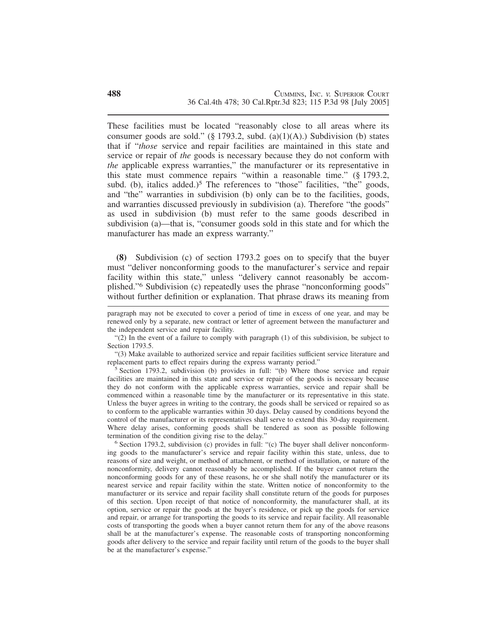These facilities must be located "reasonably close to all areas where its consumer goods are sold." (§ 1793.2, subd. (a)(1)(A).) Subdivision (b) states that if "*those* service and repair facilities are maintained in this state and service or repair of *the* goods is necessary because they do not conform with *the* applicable express warranties," the manufacturer or its representative in this state must commence repairs "within a reasonable time." (§ 1793.2, subd. (b), italics added.)<sup>5</sup> The references to "those" facilities, "the" goods, and "the" warranties in subdivision (b) only can be to the facilities, goods, and warranties discussed previously in subdivision (a). Therefore "the goods" as used in subdivision (b) must refer to the same goods described in subdivision (a)—that is, "consumer goods sold in this state and for which the manufacturer has made an express warranty."

**(8)** Subdivision (c) of section 1793.2 goes on to specify that the buyer must "deliver nonconforming goods to the manufacturer's service and repair facility within this state," unless "delivery cannot reasonably be accomplished."<sup>6</sup> Subdivision (c) repeatedly uses the phrase "nonconforming goods" without further definition or explanation. That phrase draws its meaning from

<sup>5</sup> Section 1793.2, subdivision (b) provides in full: "(b) Where those service and repair facilities are maintained in this state and service or repair of the goods is necessary because they do not conform with the applicable express warranties, service and repair shall be commenced within a reasonable time by the manufacturer or its representative in this state. Unless the buyer agrees in writing to the contrary, the goods shall be serviced or repaired so as to conform to the applicable warranties within 30 days. Delay caused by conditions beyond the control of the manufacturer or its representatives shall serve to extend this 30-day requirement. Where delay arises, conforming goods shall be tendered as soon as possible following termination of the condition giving rise to the delay."<br><sup>6</sup> Section 1793.2, subdivision (c) provides in full: "(c) The buyer shall deliver nonconform-

ing goods to the manufacturer's service and repair facility within this state, unless, due to reasons of size and weight, or method of attachment, or method of installation, or nature of the nonconformity, delivery cannot reasonably be accomplished. If the buyer cannot return the nonconforming goods for any of these reasons, he or she shall notify the manufacturer or its nearest service and repair facility within the state. Written notice of nonconformity to the manufacturer or its service and repair facility shall constitute return of the goods for purposes of this section. Upon receipt of that notice of nonconformity, the manufacturer shall, at its option, service or repair the goods at the buyer's residence, or pick up the goods for service and repair, or arrange for transporting the goods to its service and repair facility. All reasonable costs of transporting the goods when a buyer cannot return them for any of the above reasons shall be at the manufacturer's expense. The reasonable costs of transporting nonconforming goods after delivery to the service and repair facility until return of the goods to the buyer shall be at the manufacturer's expense."

paragraph may not be executed to cover a period of time in excess of one year, and may be renewed only by a separate, new contract or letter of agreement between the manufacturer and the independent service and repair facility.

<sup>&</sup>quot;(2) In the event of a failure to comply with paragraph (1) of this subdivision, be subject to Section 1793.5.

<sup>&</sup>quot;(3) Make available to authorized service and repair facilities sufficient service literature and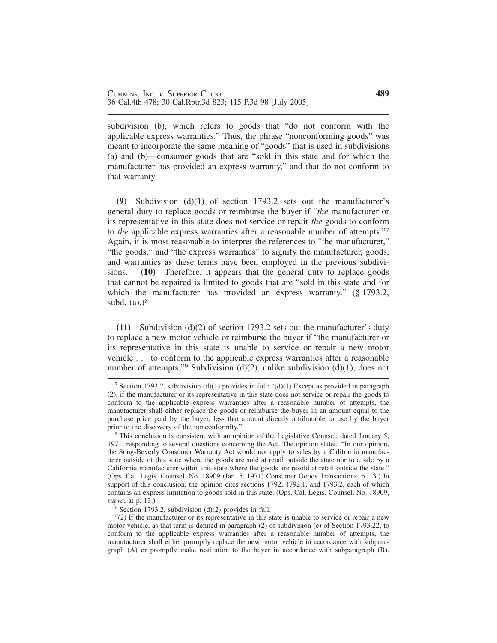subdivision (b), which refers to goods that "do not conform with the applicable express warranties." Thus, the phrase "nonconforming goods" was meant to incorporate the same meaning of "goods" that is used in subdivisions (a) and (b)—consumer goods that are "sold in this state and for which the manufacturer has provided an express warranty," and that do not conform to that warranty.

**(9)** Subdivision (d)(1) of section 1793.2 sets out the manufacturer's general duty to replace goods or reimburse the buyer if "*the* manufacturer or its representative in this state does not service or repair *the* goods to conform to *the* applicable express warranties after a reasonable number of attempts."7 Again, it is most reasonable to interpret the references to "the manufacturer," "the goods," and "the express warranties" to signify the manufacturer, goods, and warranties as these terms have been employed in the previous subdivisions. **(10)** Therefore, it appears that the general duty to replace goods that cannot be repaired is limited to goods that are "sold in this state and for which the manufacturer has provided an express warranty." (§ 1793.2, subd.  $(a).$ <sup>8</sup>

**(11)** Subdivision (d)(2) of section 1793.2 sets out the manufacturer's duty to replace a new motor vehicle or reimburse the buyer if "the manufacturer or its representative in this state is unable to service or repair a new motor vehicle . . . to conform to the applicable express warranties after a reasonable number of attempts."<sup>9</sup> Subdivision (d)(2), unlike subdivision (d)(1), does not

<sup>&</sup>lt;sup>7</sup> Section 1793.2, subdivision (d)(1) provides in full: "(d)(1) Except as provided in paragraph (2), if the manufacturer or its representative in this state does not service or repair the goods to conform to the applicable express warranties after a reasonable number of attempts, the manufacturer shall either replace the goods or reimburse the buyer in an amount equal to the purchase price paid by the buyer, less that amount directly attributable to use by the buyer

<sup>&</sup>lt;sup>8</sup> This conclusion is consistent with an opinion of the Legislative Counsel, dated January 5, 1971, responding to several questions concerning the Act. The opinion states: "In our opinion, the Song-Beverly Consumer Warranty Act would not apply to sales by a California manufacturer outside of this state where the goods are sold at retail outside the state nor to a sale by a California manufacturer within this state where the goods are resold at retail outside the state." (Ops. Cal. Legis. Counsel, No. 18909 (Jan. 5, 1971) Consumer Goods Transactions, p. 13.) In support of this conclusion, the opinion cites sections 1792, 1792.1, and 1793.2, each of which contains an express limitation to goods sold in this state. (Ops. Cal. Legis. Counsel, No. 18909, *supra*, at p. 13.)<br><sup>9</sup> Section 1793.2, subdivision (d)(2) provides in full:

<sup>&</sup>quot;(2) If the manufacturer or its representative in this state is unable to service or repair a new motor vehicle, as that term is defined in paragraph (2) of subdivision (e) of Section 1793.22, to conform to the applicable express warranties after a reasonable number of attempts, the manufacturer shall either promptly replace the new motor vehicle in accordance with subparagraph (A) or promptly make restitution to the buyer in accordance with subparagraph (B).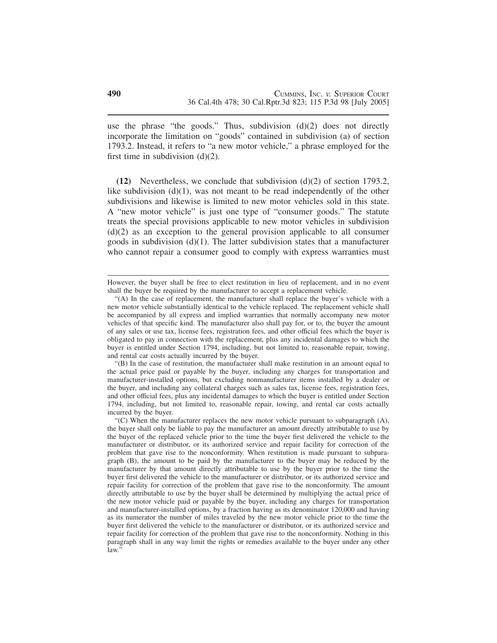use the phrase "the goods." Thus, subdivision  $(d)(2)$  does not directly incorporate the limitation on "goods" contained in subdivision (a) of section 1793.2. Instead, it refers to "a new motor vehicle," a phrase employed for the first time in subdivision (d)(2).

**(12)** Nevertheless, we conclude that subdivision (d)(2) of section 1793.2, like subdivision  $(d)(1)$ , was not meant to be read independently of the other subdivisions and likewise is limited to new motor vehicles sold in this state. A "new motor vehicle" is just one type of "consumer goods." The statute treats the special provisions applicable to new motor vehicles in subdivision (d)(2) as an exception to the general provision applicable to all consumer goods in subdivision (d)(1). The latter subdivision states that a manufacturer who cannot repair a consumer good to comply with express warranties must

However, the buyer shall be free to elect restitution in lieu of replacement, and in no event shall the buyer be required by the manufacturer to accept a replacement vehicle.

<sup>&</sup>quot;(A) In the case of replacement, the manufacturer shall replace the buyer's vehicle with a new motor vehicle substantially identical to the vehicle replaced. The replacement vehicle shall be accompanied by all express and implied warranties that normally accompany new motor vehicles of that specific kind. The manufacturer also shall pay for, or to, the buyer the amount of any sales or use tax, license fees, registration fees, and other official fees which the buyer is obligated to pay in connection with the replacement, plus any incidental damages to which the buyer is entitled under Section 1794, including, but not limited to, reasonable repair, towing, and rental car costs actually incurred by the buyer.

<sup>&</sup>quot;(B) In the case of restitution, the manufacturer shall make restitution in an amount equal to the actual price paid or payable by the buyer, including any charges for transportation and manufacturer-installed options, but excluding nonmanufacturer items installed by a dealer or the buyer, and including any collateral charges such as sales tax, license fees, registration fees, and other official fees, plus any incidental damages to which the buyer is entitled under Section 1794, including, but not limited to, reasonable repair, towing, and rental car costs actually incurred by the buyer.

<sup>&</sup>quot;(C) When the manufacturer replaces the new motor vehicle pursuant to subparagraph (A), the buyer shall only be liable to pay the manufacturer an amount directly attributable to use by the buyer of the replaced vehicle prior to the time the buyer first delivered the vehicle to the manufacturer or distributor, or its authorized service and repair facility for correction of the problem that gave rise to the nonconformity. When restitution is made pursuant to subparagraph (B), the amount to be paid by the manufacturer to the buyer may be reduced by the manufacturer by that amount directly attributable to use by the buyer prior to the time the buyer first delivered the vehicle to the manufacturer or distributor, or its authorized service and repair facility for correction of the problem that gave rise to the nonconformity. The amount directly attributable to use by the buyer shall be determined by multiplying the actual price of the new motor vehicle paid or payable by the buyer, including any charges for transportation and manufacturer-installed options, by a fraction having as its denominator 120,000 and having as its numerator the number of miles traveled by the new motor vehicle prior to the time the buyer first delivered the vehicle to the manufacturer or distributor, or its authorized service and repair facility for correction of the problem that gave rise to the nonconformity. Nothing in this paragraph shall in any way limit the rights or remedies available to the buyer under any other law."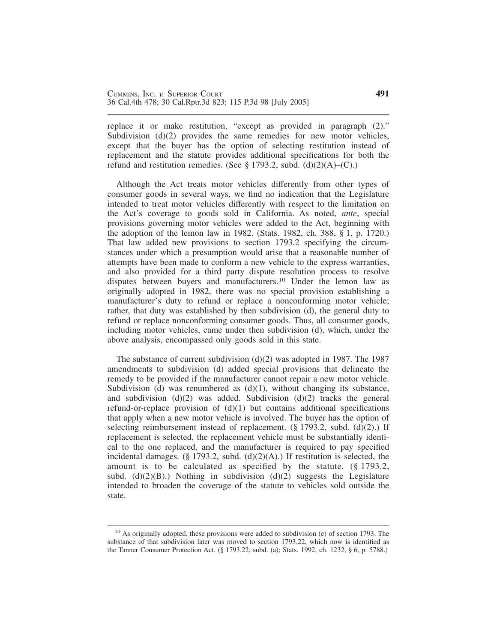replace it or make restitution, "except as provided in paragraph (2)." Subdivision (d)(2) provides the same remedies for new motor vehicles, except that the buyer has the option of selecting restitution instead of replacement and the statute provides additional specifications for both the refund and restitution remedies. (See  $\S 1793.2$ , subd. (d)(2)(A)–(C).)

Although the Act treats motor vehicles differently from other types of consumer goods in several ways, we find no indication that the Legislature intended to treat motor vehicles differently with respect to the limitation on the Act's coverage to goods sold in California. As noted, *ante*, special provisions governing motor vehicles were added to the Act, beginning with the adoption of the lemon law in 1982. (Stats. 1982, ch. 388, § 1, p. 1720.) That law added new provisions to section 1793.2 specifying the circumstances under which a presumption would arise that a reasonable number of attempts have been made to conform a new vehicle to the express warranties, and also provided for a third party dispute resolution process to resolve disputes between buyers and manufacturers.<sup>10</sup> Under the lemon law as originally adopted in 1982, there was no special provision establishing a manufacturer's duty to refund or replace a nonconforming motor vehicle; rather, that duty was established by then subdivision (d), the general duty to refund or replace nonconforming consumer goods. Thus, all consumer goods, including motor vehicles, came under then subdivision (d), which, under the above analysis, encompassed only goods sold in this state.

The substance of current subdivision (d)(2) was adopted in 1987. The 1987 amendments to subdivision (d) added special provisions that delineate the remedy to be provided if the manufacturer cannot repair a new motor vehicle. Subdivision  $(d)$  was renumbered as  $(d)(1)$ , without changing its substance, and subdivision  $(d)(2)$  was added. Subdivision  $(d)(2)$  tracks the general refund-or-replace provision of  $(d)(1)$  but contains additional specifications that apply when a new motor vehicle is involved. The buyer has the option of selecting reimbursement instead of replacement.  $(\S 1793.2, \text{ subd. } (d)(2))$  If replacement is selected, the replacement vehicle must be substantially identical to the one replaced, and the manufacturer is required to pay specified incidental damages. (§ 1793.2, subd.  $(d)(2)(A)$ .) If restitution is selected, the amount is to be calculated as specified by the statute. (§ 1793.2, subd. (d) $(2)(B)$ .) Nothing in subdivision (d) $(2)$  suggests the Legislature intended to broaden the coverage of the statute to vehicles sold outside the state.

<sup>&</sup>lt;sup>10</sup> As originally adopted, these provisions were added to subdivision (e) of section 1793. The substance of that subdivision later was moved to section 1793.22, which now is identified as the Tanner Consumer Protection Act. (§ 1793.22, subd. (a); Stats. 1992, ch. 1232, § 6, p. 5788.)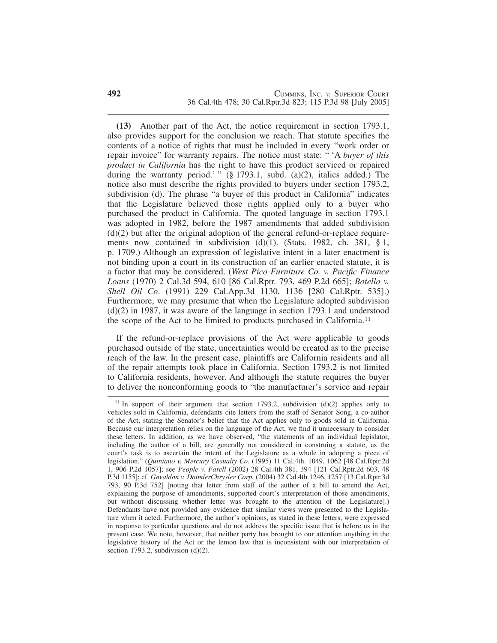**(13)** Another part of the Act, the notice requirement in section 1793.1, also provides support for the conclusion we reach. That statute specifies the contents of a notice of rights that must be included in every "work order or repair invoice" for warranty repairs. The notice must state: " 'A *buyer of this product in California* has the right to have this product serviced or repaired during the warranty period.' "  $(\S 1793.1, \S 100. (a)(2), \S 110. (b)(2))$  The notice also must describe the rights provided to buyers under section 1793.2, subdivision (d). The phrase "a buyer of this product in California" indicates that the Legislature believed those rights applied only to a buyer who purchased the product in California. The quoted language in section 1793.1 was adopted in 1982, before the 1987 amendments that added subdivision  $(d)(2)$  but after the original adoption of the general refund-or-replace requirements now contained in subdivision (d)(1). (Stats. 1982, ch. 381, § 1, p. 1709.) Although an expression of legislative intent in a later enactment is not binding upon a court in its construction of an earlier enacted statute, it is a factor that may be considered. (*West Pico Furniture Co. v. Pacific Finance Loans* (1970) 2 Cal.3d 594, 610 [86 Cal.Rptr. 793, 469 P.2d 665]; *Botello v. Shell Oil Co*. (1991) 229 Cal.App.3d 1130, 1136 [280 Cal.Rptr. 535].) Furthermore, we may presume that when the Legislature adopted subdivision (d)(2) in 1987, it was aware of the language in section 1793.1 and understood the scope of the Act to be limited to products purchased in California.<sup>11</sup>

If the refund-or-replace provisions of the Act were applicable to goods purchased outside of the state, uncertainties would be created as to the precise reach of the law. In the present case, plaintiffs are California residents and all of the repair attempts took place in California. Section 1793.2 is not limited to California residents, however. And although the statute requires the buyer to deliver the nonconforming goods to "the manufacturer's service and repair

 $11$  In support of their argument that section 1793.2, subdivision (d)(2) applies only to vehicles sold in California, defendants cite letters from the staff of Senator Song, a co-author of the Act, stating the Senator's belief that the Act applies only to goods sold in California. Because our interpretation relies on the language of the Act, we find it unnecessary to consider these letters. In addition, as we have observed, "the statements of an individual legislator, including the author of a bill, are generally not considered in construing a statute, as the court's task is to ascertain the intent of the Legislature as a whole in adopting a piece of legislation." (*Quintano v. Mercury Casualty Co.* (1995) 11 Cal.4th. 1049, 1062 [48 Cal.Rptr.2d 1, 906 P.2d 1057]; see *People v. Farell* (2002) 28 Cal.4th 381, 394 [121 Cal.Rptr.2d 603, 48 P.3d 1155]; cf. *Gavaldon v. DaimlerChrysler Corp.* (2004) 32 Cal.4th 1246, 1257 [13 Cal.Rptr.3d 793, 90 P.3d 752] [noting that letter from staff of the author of a bill to amend the Act, explaining the purpose of amendments, supported court's interpretation of those amendments, but without discussing whether letter was brought to the attention of the Legislature].) Defendants have not provided any evidence that similar views were presented to the Legislature when it acted. Furthermore, the author's opinions, as stated in these letters, were expressed in response to particular questions and do not address the specific issue that is before us in the present case. We note, however, that neither party has brought to our attention anything in the legislative history of the Act or the lemon law that is inconsistent with our interpretation of section 1793.2, subdivision (d)(2).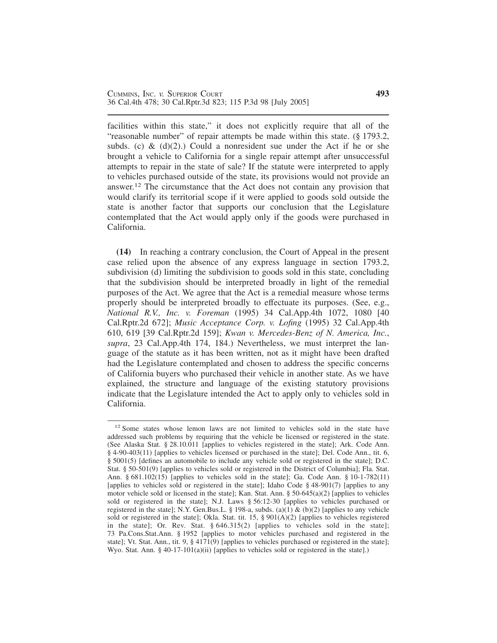facilities within this state," it does not explicitly require that all of the "reasonable number" of repair attempts be made within this state. (§ 1793.2, subds. (c) &  $(d)(2)$ .) Could a nonresident sue under the Act if he or she brought a vehicle to California for a single repair attempt after unsuccessful attempts to repair in the state of sale? If the statute were interpreted to apply to vehicles purchased outside of the state, its provisions would not provide an answer.<sup>12</sup> The circumstance that the Act does not contain any provision that would clarify its territorial scope if it were applied to goods sold outside the state is another factor that supports our conclusion that the Legislature contemplated that the Act would apply only if the goods were purchased in California.

**(14)** In reaching a contrary conclusion, the Court of Appeal in the present case relied upon the absence of any express language in section 1793.2, subdivision (d) limiting the subdivision to goods sold in this state, concluding that the subdivision should be interpreted broadly in light of the remedial purposes of the Act. We agree that the Act is a remedial measure whose terms properly should be interpreted broadly to effectuate its purposes. (See, e.g., *National R.V., Inc. v. Foreman* (1995) 34 Cal.App.4th 1072, 1080 [40 Cal.Rptr.2d 672]; *Music Acceptance Corp. v. Lofing* (1995) 32 Cal.App.4th 610, 619 [39 Cal.Rptr.2d 159]; *Kwan v. Mercedes-Benz of N. America, Inc.*, *supra*, 23 Cal.App.4th 174, 184.) Nevertheless, we must interpret the language of the statute as it has been written, not as it might have been drafted had the Legislature contemplated and chosen to address the specific concerns of California buyers who purchased their vehicle in another state. As we have explained, the structure and language of the existing statutory provisions indicate that the Legislature intended the Act to apply only to vehicles sold in California.

<sup>&</sup>lt;sup>12</sup> Some states whose lemon laws are not limited to vehicles sold in the state have addressed such problems by requiring that the vehicle be licensed or registered in the state. (See Alaska Stat. § 28.10.011 [applies to vehicles registered in the state]; Ark. Code Ann. § 4-90-403(11) [applies to vehicles licensed or purchased in the state]; Del. Code Ann., tit. 6, § 5001(5) [defines an automobile to include any vehicle sold or registered in the state]; D.C. Stat. § 50-501(9) [applies to vehicles sold or registered in the District of Columbia]; Fla. Stat. Ann. § 681.102(15) [applies to vehicles sold in the state]; Ga. Code Ann. § 10-1-782(11) [applies to vehicles sold or registered in the state]; Idaho Code § 48-901(7) [applies to any motor vehicle sold or licensed in the state]; Kan. Stat. Ann. § 50-645(a)(2) [applies to vehicles sold or registered in the state]; N.J. Laws § 56:12-30 [applies to vehicles purchased or registered in the state]; N.Y. Gen.Bus.L. § 198-a, subds. (a)(1) & (b)(2) [applies to any vehicle sold or registered in the state]; Okla. Stat. tit. 15, § 901(A)(2) [applies to vehicles registered in the state]; Or. Rev. Stat. § 646.315(2) [applies to vehicles sold in the state]; 73 Pa.Cons.Stat.Ann. § 1952 [applies to motor vehicles purchased and registered in the state]; Vt. Stat. Ann., tit. 9, § 4171(9) [applies to vehicles purchased or registered in the state]; Wyo. Stat. Ann.  $\S$  40-17-101(a)(ii) [applies to vehicles sold or registered in the state].)